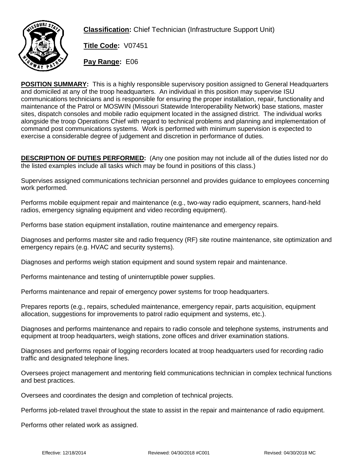

**Classification:** Chief Technician (Infrastructure Support Unit)

**Title Code:** V07451

**Pay Range:** E06

**POSITION SUMMARY:** This is a highly responsible supervisory position assigned to General Headquarters and domiciled at any of the troop headquarters. An individual in this position may supervise ISU communications technicians and is responsible for ensuring the proper installation, repair, functionality and maintenance of the Patrol or MOSWIN (Missouri Statewide Interoperability Network) base stations, master sites, dispatch consoles and mobile radio equipment located in the assigned district. The individual works alongside the troop Operations Chief with regard to technical problems and planning and implementation of command post communications systems. Work is performed with minimum supervision is expected to exercise a considerable degree of judgement and discretion in performance of duties.

**DESCRIPTION OF DUTIES PERFORMED:** (Any one position may not include all of the duties listed nor do the listed examples include all tasks which may be found in positions of this class.)

Supervises assigned communications technician personnel and provides guidance to employees concerning work performed.

Performs mobile equipment repair and maintenance (e.g., two-way radio equipment, scanners, hand-held radios, emergency signaling equipment and video recording equipment).

Performs base station equipment installation, routine maintenance and emergency repairs.

Diagnoses and performs master site and radio frequency (RF) site routine maintenance, site optimization and emergency repairs (e.g. HVAC and security systems).

Diagnoses and performs weigh station equipment and sound system repair and maintenance.

Performs maintenance and testing of uninterruptible power supplies.

Performs maintenance and repair of emergency power systems for troop headquarters.

Prepares reports (e.g., repairs, scheduled maintenance, emergency repair, parts acquisition, equipment allocation, suggestions for improvements to patrol radio equipment and systems, etc.).

Diagnoses and performs maintenance and repairs to radio console and telephone systems, instruments and equipment at troop headquarters, weigh stations, zone offices and driver examination stations.

Diagnoses and performs repair of logging recorders located at troop headquarters used for recording radio traffic and designated telephone lines.

Oversees project management and mentoring field communications technician in complex technical functions and best practices.

Oversees and coordinates the design and completion of technical projects.

Performs job-related travel throughout the state to assist in the repair and maintenance of radio equipment.

Performs other related work as assigned.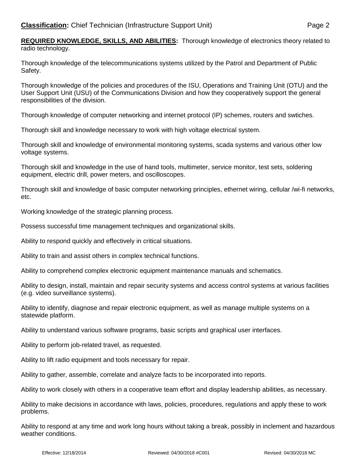**REQUIRED KNOWLEDGE, SKILLS, AND ABILITIES:** Thorough knowledge of electronics theory related to radio technology.

Thorough knowledge of the telecommunications systems utilized by the Patrol and Department of Public Safety.

Thorough knowledge of the policies and procedures of the ISU, Operations and Training Unit (OTU) and the User Support Unit (USU) of the Communications Division and how they cooperatively support the general responsibilities of the division.

Thorough knowledge of computer networking and internet protocol (IP) schemes, routers and swtiches.

Thorough skill and knowledge necessary to work with high voltage electrical system.

Thorough skill and knowledge of environmental monitoring systems, scada systems and various other low voltage systems.

Thorough skill and knowledge in the use of hand tools, multimeter, service monitor, test sets, soldering equipment, electric drill, power meters, and oscilloscopes.

Thorough skill and knowledge of basic computer networking principles, ethernet wiring, cellular /wi-fi networks, etc.

Working knowledge of the strategic planning process.

Possess successful time management techniques and organizational skills.

Ability to respond quickly and effectively in critical situations.

Ability to train and assist others in complex technical functions.

Ability to comprehend complex electronic equipment maintenance manuals and schematics.

Ability to design, install, maintain and repair security systems and access control systems at various facilities (e.g. video surveillance systems).

Ability to identify, diagnose and repair electronic equipment, as well as manage multiple systems on a statewide platform.

Ability to understand various software programs, basic scripts and graphical user interfaces.

Ability to perform job-related travel, as requested.

Ability to lift radio equipment and tools necessary for repair.

Ability to gather, assemble, correlate and analyze facts to be incorporated into reports.

Ability to work closely with others in a cooperative team effort and display leadership abilities, as necessary.

Ability to make decisions in accordance with laws, policies, procedures, regulations and apply these to work problems.

Ability to respond at any time and work long hours without taking a break, possibly in inclement and hazardous weather conditions.